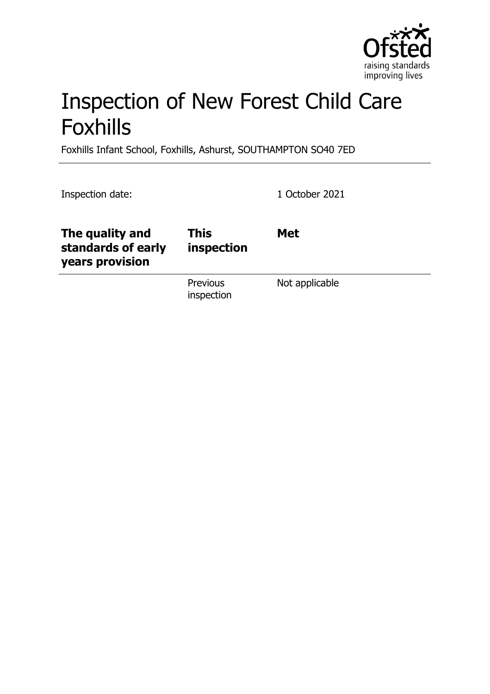

# Inspection of New Forest Child Care Foxhills

Foxhills Infant School, Foxhills, Ashurst, SOUTHAMPTON SO40 7ED

Inspection date: 1 October 2021

| The quality and<br>standards of early<br>years provision | <b>This</b><br>inspection | <b>Met</b>     |
|----------------------------------------------------------|---------------------------|----------------|
|                                                          | Previous<br>inspection    | Not applicable |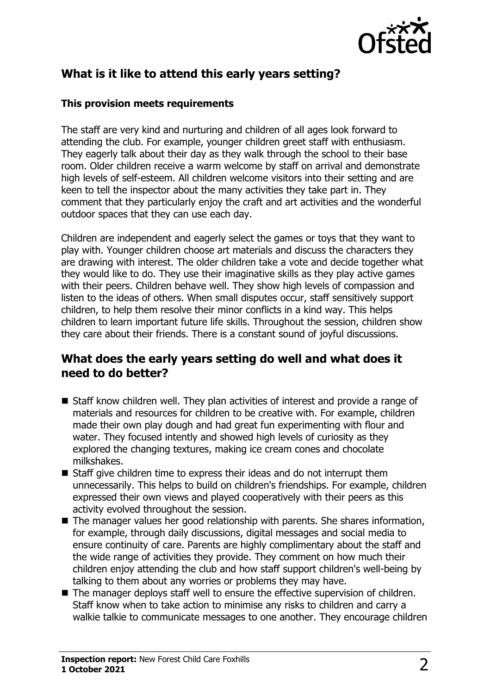

# **What is it like to attend this early years setting?**

#### **This provision meets requirements**

The staff are very kind and nurturing and children of all ages look forward to attending the club. For example, younger children greet staff with enthusiasm. They eagerly talk about their day as they walk through the school to their base room. Older children receive a warm welcome by staff on arrival and demonstrate high levels of self-esteem. All children welcome visitors into their setting and are keen to tell the inspector about the many activities they take part in. They comment that they particularly enjoy the craft and art activities and the wonderful outdoor spaces that they can use each day.

Children are independent and eagerly select the games or toys that they want to play with. Younger children choose art materials and discuss the characters they are drawing with interest. The older children take a vote and decide together what they would like to do. They use their imaginative skills as they play active games with their peers. Children behave well. They show high levels of compassion and listen to the ideas of others. When small disputes occur, staff sensitively support children, to help them resolve their minor conflicts in a kind way. This helps children to learn important future life skills. Throughout the session, children show they care about their friends. There is a constant sound of joyful discussions.

#### **What does the early years setting do well and what does it need to do better?**

- $\blacksquare$  Staff know children well. They plan activities of interest and provide a range of materials and resources for children to be creative with. For example, children made their own play dough and had great fun experimenting with flour and water. They focused intently and showed high levels of curiosity as they explored the changing textures, making ice cream cones and chocolate milkshakes.
- $\blacksquare$  Staff give children time to express their ideas and do not interrupt them unnecessarily. This helps to build on children's friendships. For example, children expressed their own views and played cooperatively with their peers as this activity evolved throughout the session.
- $\blacksquare$  The manager values her good relationship with parents. She shares information, for example, through daily discussions, digital messages and social media to ensure continuity of care. Parents are highly complimentary about the staff and the wide range of activities they provide. They comment on how much their children enjoy attending the club and how staff support children's well-being by talking to them about any worries or problems they may have.
- $\blacksquare$  The manager deploys staff well to ensure the effective supervision of children. Staff know when to take action to minimise any risks to children and carry a walkie talkie to communicate messages to one another. They encourage children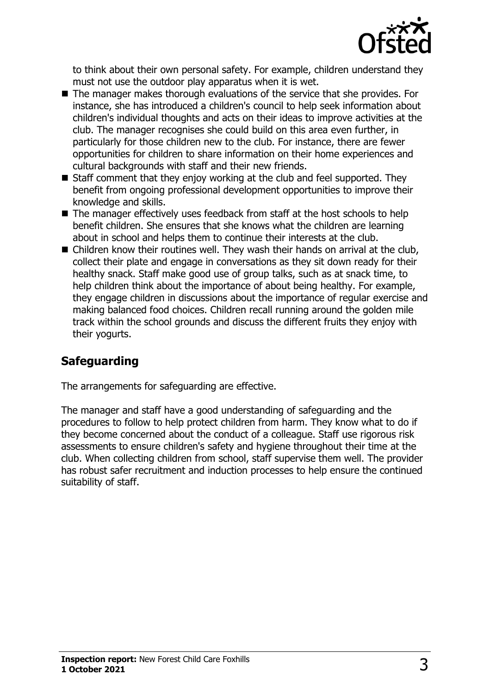

to think about their own personal safety. For example, children understand they must not use the outdoor play apparatus when it is wet.

- $\blacksquare$  The manager makes thorough evaluations of the service that she provides. For instance, she has introduced a children's council to help seek information about children's individual thoughts and acts on their ideas to improve activities at the club. The manager recognises she could build on this area even further, in particularly for those children new to the club. For instance, there are fewer opportunities for children to share information on their home experiences and cultural backgrounds with staff and their new friends.
- $\blacksquare$  Staff comment that they enjoy working at the club and feel supported. They benefit from ongoing professional development opportunities to improve their knowledge and skills.
- $\blacksquare$  The manager effectively uses feedback from staff at the host schools to help benefit children. She ensures that she knows what the children are learning about in school and helps them to continue their interests at the club.
- $\blacksquare$  Children know their routines well. They wash their hands on arrival at the club, collect their plate and engage in conversations as they sit down ready for their healthy snack. Staff make good use of group talks, such as at snack time, to help children think about the importance of about being healthy. For example, they engage children in discussions about the importance of regular exercise and making balanced food choices. Children recall running around the golden mile track within the school grounds and discuss the different fruits they enjoy with their yogurts.

# **Safeguarding**

The arrangements for safeguarding are effective.

The manager and staff have a good understanding of safeguarding and the procedures to follow to help protect children from harm. They know what to do if they become concerned about the conduct of a colleague. Staff use rigorous risk assessments to ensure children's safety and hygiene throughout their time at the club. When collecting children from school, staff supervise them well. The provider has robust safer recruitment and induction processes to help ensure the continued suitability of staff.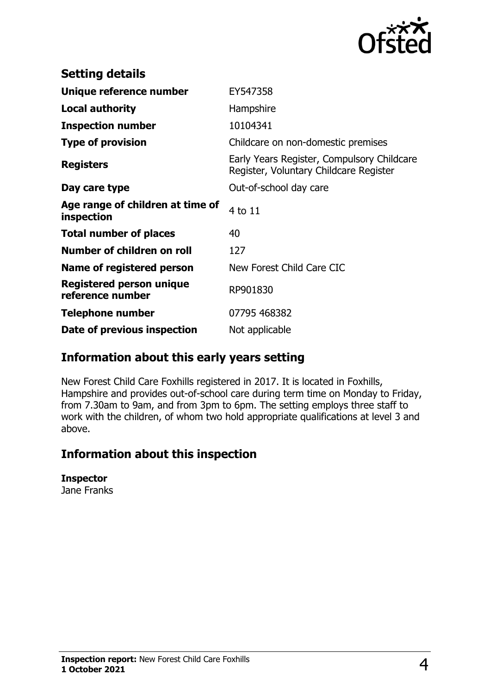

| <b>Setting details</b>                              |                                                                                      |
|-----------------------------------------------------|--------------------------------------------------------------------------------------|
| Unique reference number                             | EY547358                                                                             |
| <b>Local authority</b>                              | Hampshire                                                                            |
| <b>Inspection number</b>                            | 10104341                                                                             |
| <b>Type of provision</b>                            | Childcare on non-domestic premises                                                   |
| <b>Registers</b>                                    | Early Years Register, Compulsory Childcare<br>Register, Voluntary Childcare Register |
| Day care type                                       | Out-of-school day care                                                               |
| Age range of children at time of<br>inspection      | 4 to 11                                                                              |
| <b>Total number of places</b>                       | 40                                                                                   |
| <b>Number of children on roll</b>                   | 127                                                                                  |
| Name of registered person                           | New Forest Child Care CIC                                                            |
| <b>Registered person unique</b><br>reference number | RP901830                                                                             |
| <b>Telephone number</b>                             | 07795 468382                                                                         |
| Date of previous inspection                         | Not applicable                                                                       |

## **Information about this early years setting**

New Forest Child Care Foxhills registered in 2017. It is located in Foxhills, Hampshire and provides out-of-school care during term time on Monday to Friday, from 7.30am to 9am, and from 3pm to 6pm. The setting employs three staff to work with the children, of whom two hold appropriate qualifications at level 3 and above.

## **Information about this inspection**

#### **Inspector**

Jane Franks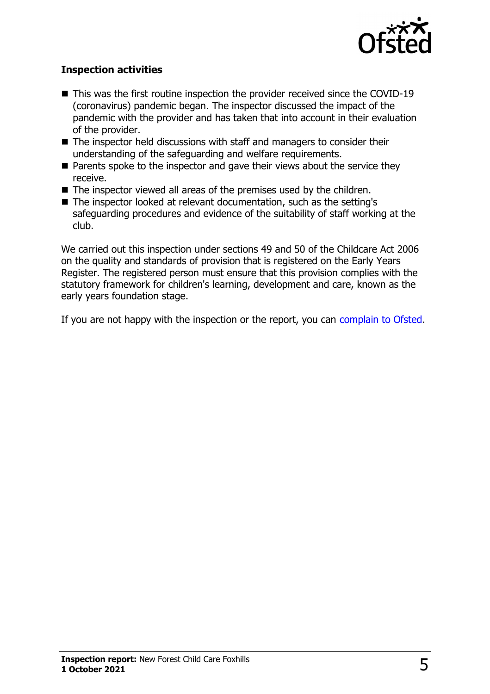

#### **Inspection activities**

- $\blacksquare$  This was the first routine inspection the provider received since the COVID-19 (coronavirus) pandemic began. The inspector discussed the impact of the pandemic with the provider and has taken that into account in their evaluation of the provider.
- $\blacksquare$  The inspector held discussions with staff and managers to consider their understanding of the safeguarding and welfare requirements.
- $\blacksquare$  Parents spoke to the inspector and gave their views about the service they receive.
- $\blacksquare$  The inspector viewed all areas of the premises used by the children.
- The inspector looked at relevant documentation, such as the setting's safeguarding procedures and evidence of the suitability of staff working at the club.

We carried out this inspection under sections 49 and 50 of the Childcare Act 2006 on the quality and standards of provision that is registered on the Early Years Register. The registered person must ensure that this provision complies with the statutory framework for children's learning, development and care, known as the early years foundation stage.

If you are not happy with the inspection or the report, you can [complain to Ofsted](http://www.gov.uk/complain-ofsted-report).